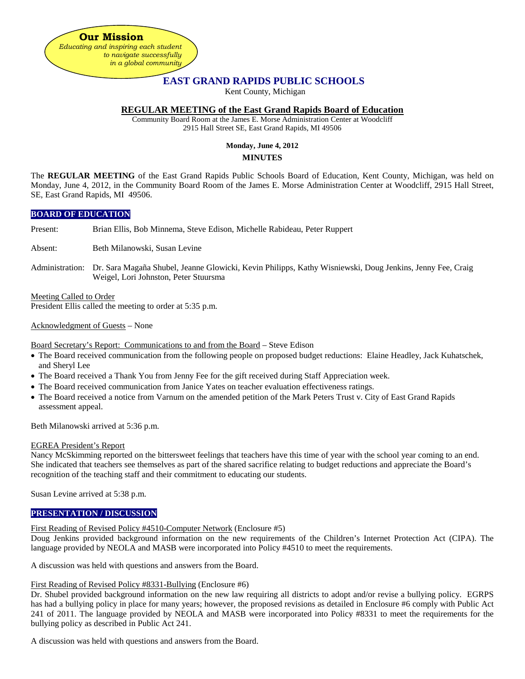**Our Mission** *Educating and inspiring each student to navigate successfully in a global community*

# **EAST GRAND RAPIDS PUBLIC SCHOOLS**

Kent County, Michigan

### **REGULAR MEETING of the East Grand Rapids Board of Education**

Community Board Room at the James E. Morse Administration Center at Woodcliff 2915 Hall Street SE, East Grand Rapids, MI 49506

## **Monday, June 4, 2012 MINUTES**

The **REGULAR MEETING** of the East Grand Rapids Public Schools Board of Education, Kent County, Michigan, was held on Monday, June 4, 2012, in the Community Board Room of the James E. Morse Administration Center at Woodcliff, 2915 Hall Street, SE, East Grand Rapids, MI 49506.

### **BOARD OF EDUCATION**

Present: Brian Ellis, Bob Minnema, Steve Edison, Michelle Rabideau, Peter Ruppert

Absent: Beth Milanowski, Susan Levine

Administration: Dr. Sara Magaña Shubel, Jeanne Glowicki, Kevin Philipps, Kathy Wisniewski, Doug Jenkins, Jenny Fee, Craig Weigel, Lori Johnston, Peter Stuursma

Meeting Called to Order President Ellis called the meeting to order at 5:35 p.m.

Acknowledgment of Guests – None

Board Secretary's Report: Communications to and from the Board – Steve Edison

- The Board received communication from the following people on proposed budget reductions: Elaine Headley, Jack Kuhatschek, and Sheryl Lee
- The Board received a Thank You from Jenny Fee for the gift received during Staff Appreciation week.
- The Board received communication from Janice Yates on teacher evaluation effectiveness ratings.
- The Board received a notice from Varnum on the amended petition of the Mark Peters Trust v. City of East Grand Rapids assessment appeal.

Beth Milanowski arrived at 5:36 p.m.

#### EGREA President's Report

Nancy McSkimming reported on the bittersweet feelings that teachers have this time of year with the school year coming to an end. She indicated that teachers see themselves as part of the shared sacrifice relating to budget reductions and appreciate the Board's recognition of the teaching staff and their commitment to educating our students.

Susan Levine arrived at 5:38 p.m.

## **PRESENTATION / DISCUSSION**

### First Reading of Revised Policy #4510-Computer Network (Enclosure #5)

Doug Jenkins provided background information on the new requirements of the Children's Internet Protection Act (CIPA). The language provided by NEOLA and MASB were incorporated into Policy #4510 to meet the requirements.

A discussion was held with questions and answers from the Board.

### First Reading of Revised Policy #8331-Bullying (Enclosure #6)

Dr. Shubel provided background information on the new law requiring all districts to adopt and/or revise a bullying policy. EGRPS has had a bullying policy in place for many years; however, the proposed revisions as detailed in Enclosure #6 comply with Public Act 241 of 2011. The language provided by NEOLA and MASB were incorporated into Policy #8331 to meet the requirements for the bullying policy as described in Public Act 241.

A discussion was held with questions and answers from the Board.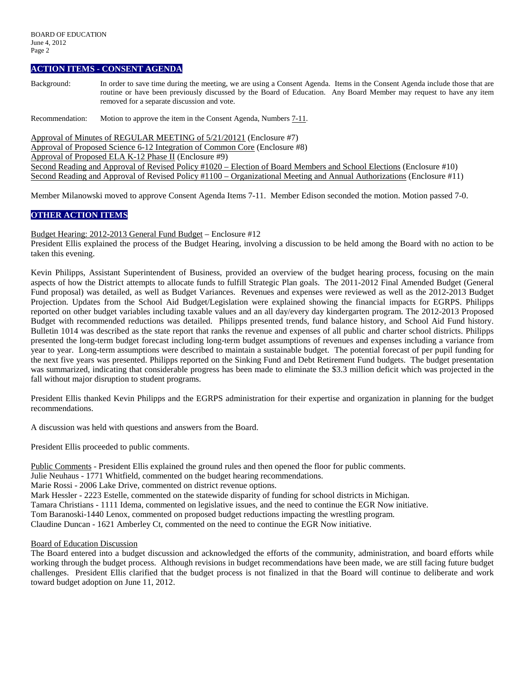#### **ACTION ITEMS - CONSENT AGENDA**

Background: In order to save time during the meeting, we are using a Consent Agenda. Items in the Consent Agenda include those that are routine or have been previously discussed by the Board of Education. Any Board Member may request to have any item removed for a separate discussion and vote.

Recommendation: Motion to approve the item in the Consent Agenda, Numbers 7-11.

Approval of Minutes of REGULAR MEETING of 5/21/20121 (Enclosure #7)

Approval of Proposed Science 6-12 Integration of Common Core (Enclosure #8)

Approval of Proposed ELA K-12 Phase II (Enclosure #9)

Second Reading and Approval of Revised Policy #1020 – Election of Board Members and School Elections (Enclosure #10) Second Reading and Approval of Revised Policy #1100 – Organizational Meeting and Annual Authorizations (Enclosure #11)

Member Milanowski moved to approve Consent Agenda Items 7-11. Member Edison seconded the motion. Motion passed 7-0.

### **OTHER ACTION ITEMS**

Budget Hearing: 2012-2013 General Fund Budget – Enclosure #12

President Ellis explained the process of the Budget Hearing, involving a discussion to be held among the Board with no action to be taken this evening.

Kevin Philipps, Assistant Superintendent of Business, provided an overview of the budget hearing process, focusing on the main aspects of how the District attempts to allocate funds to fulfill Strategic Plan goals. The 2011-2012 Final Amended Budget (General Fund proposal) was detailed, as well as Budget Variances. Revenues and expenses were reviewed as well as the 2012-2013 Budget Projection. Updates from the School Aid Budget/Legislation were explained showing the financial impacts for EGRPS. Philipps reported on other budget variables including taxable values and an all day/every day kindergarten program. The 2012-2013 Proposed Budget with recommended reductions was detailed. Philipps presented trends, fund balance history, and School Aid Fund history. Bulletin 1014 was described as the state report that ranks the revenue and expenses of all public and charter school districts. Philipps presented the long-term budget forecast including long-term budget assumptions of revenues and expenses including a variance from year to year. Long-term assumptions were described to maintain a sustainable budget. The potential forecast of per pupil funding for the next five years was presented. Philipps reported on the Sinking Fund and Debt Retirement Fund budgets. The budget presentation was summarized, indicating that considerable progress has been made to eliminate the \$3.3 million deficit which was projected in the fall without major disruption to student programs.

President Ellis thanked Kevin Philipps and the EGRPS administration for their expertise and organization in planning for the budget recommendations.

A discussion was held with questions and answers from the Board.

President Ellis proceeded to public comments.

Public Comments - President Ellis explained the ground rules and then opened the floor for public comments.

Julie Neuhaus - 1771 Whitfield, commented on the budget hearing recommendations.

Marie Rossi - 2006 Lake Drive, commented on district revenue options.

Mark Hessler - 2223 Estelle, commented on the statewide disparity of funding for school districts in Michigan.

Tamara Christians - 1111 Idema, commented on legislative issues, and the need to continue the EGR Now initiative.

Tom Baranoski-1440 Lenox, commented on proposed budget reductions impacting the wrestling program.

Claudine Duncan - 1621 Amberley Ct, commented on the need to continue the EGR Now initiative.

#### Board of Education Discussion

The Board entered into a budget discussion and acknowledged the efforts of the community, administration, and board efforts while working through the budget process. Although revisions in budget recommendations have been made, we are still facing future budget challenges. President Ellis clarified that the budget process is not finalized in that the Board will continue to deliberate and work toward budget adoption on June 11, 2012.